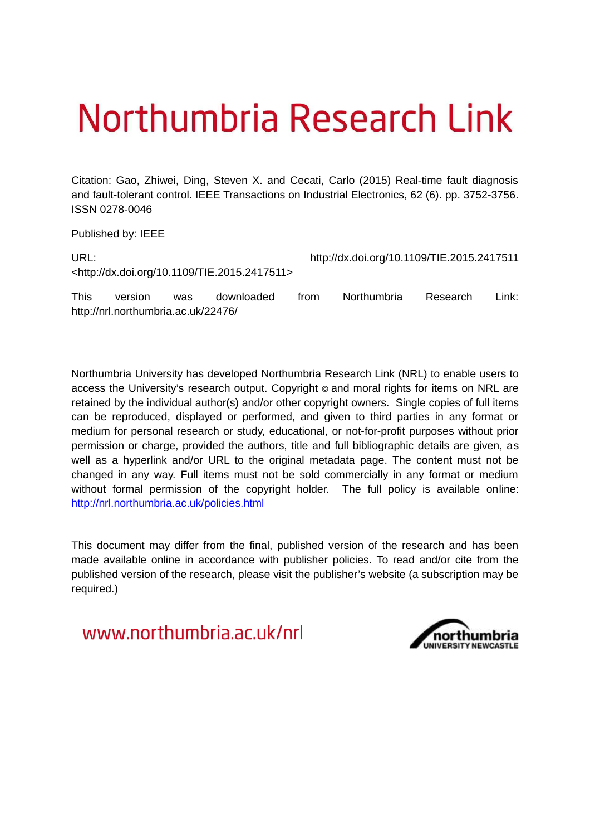## Northumbria Research Link

Citation: Gao, Zhiwei, Ding, Steven X. and Cecati, Carlo (2015) Real-time fault diagnosis and fault-tolerant control. IEEE Transactions on Industrial Electronics, 62 (6). pp. 3752-3756. ISSN 0278-0046

Published by: IEEE

http://nrl.northumbria.ac.uk/22476/

| URL:        |         |     |                                                              | http://dx.doi.org/10.1109/TIE.2015.2417511 |             |          |         |
|-------------|---------|-----|--------------------------------------------------------------|--------------------------------------------|-------------|----------|---------|
|             |         |     | <http: 10.1109="" dx.doi.org="" tie.2015.2417511=""></http:> |                                            |             |          |         |
| <b>This</b> | version | was | downloaded                                                   | trom                                       | Northumbria | Research | Link: I |

Northumbria University has developed Northumbria Research Link (NRL) to enable users to access the University's research output. Copyright  $\circ$  and moral rights for items on NRL are retained by the individual author(s) and/or other copyright owners. Single copies of full items can be reproduced, displayed or performed, and given to third parties in any format or medium for personal research or study, educational, or not-for-profit purposes without prior permission or charge, provided the authors, title and full bibliographic details are given, as well as a hyperlink and/or URL to the original metadata page. The content must not be changed in any way. Full items must not be sold commercially in any format or medium without formal permission of the copyright holder. The full policy is available online: <http://nrl.northumbria.ac.uk/policies.html>

This document may differ from the final, published version of the research and has been made available online in accordance with publisher policies. To read and/or cite from the published version of the research, please visit the publisher's website (a subscription may be required.)

www.northumbria.ac.uk/nrl

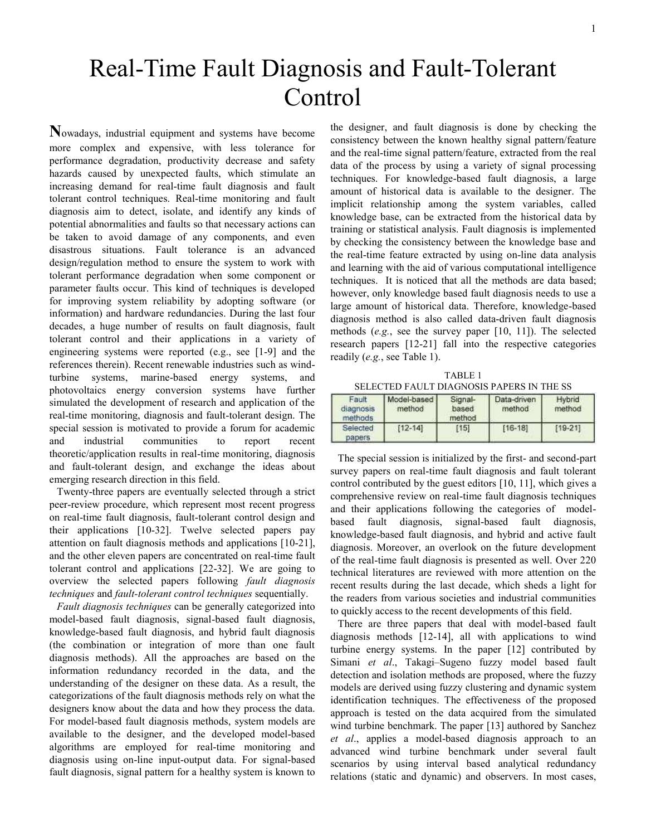## Real-Time Fault Diagnosis and Fault-Tolerant **Control**

**N**owadays, industrial equipment and systems have become more complex and expensive, with less tolerance for performance degradation, productivity decrease and safety hazards caused by unexpected faults, which stimulate an increasing demand for real-time fault diagnosis and fault tolerant control techniques. Real-time monitoring and fault diagnosis aim to detect, isolate, and identify any kinds of potential abnormalities and faults so that necessary actions can be taken to avoid damage of any components, and even disastrous situations. Fault tolerance is an advanced design/regulation method to ensure the system to work with tolerant performance degradation when some component or parameter faults occur. This kind of techniques is developed for improving system reliability by adopting software (or information) and hardware redundancies. During the last four decades, a huge number of results on fault diagnosis, fault tolerant control and their applications in a variety of engineering systems were reported (e.g., see [1-9] and the references therein). Recent renewable industries such as windturbine systems, marine-based energy systems, and photovoltaics energy conversion systems have further simulated the development of research and application of the real-time monitoring, diagnosis and fault-tolerant design. The special session is motivated to provide a forum for academic and industrial communities to report recent theoretic/application results in real-time monitoring, diagnosis and fault-tolerant design, and exchange the ideas about emerging research direction in this field.

Twenty-three papers are eventually selected through a strict peer-review procedure, which represent most recent progress on real-time fault diagnosis, fault-tolerant control design and their applications [10-32]. Twelve selected papers pay attention on fault diagnosis methods and applications [10-21], and the other eleven papers are concentrated on real-time fault tolerant control and applications [22-32]. We are going to overview the selected papers following *fault diagnosis techniques* and *fault-tolerant control techniques* sequentially.

*Fault diagnosis techniques* can be generally categorized into model-based fault diagnosis, signal-based fault diagnosis, knowledge-based fault diagnosis, and hybrid fault diagnosis (the combination or integration of more than one fault diagnosis methods). All the approaches are based on the information redundancy recorded in the data, and the understanding of the designer on these data. As a result, the categorizations of the fault diagnosis methods rely on what the designers know about the data and how they process the data. For model-based fault diagnosis methods, system models are available to the designer, and the developed model-based algorithms are employed for real-time monitoring and diagnosis using on-line input-output data. For signal-based fault diagnosis, signal pattern for a healthy system is known to the designer, and fault diagnosis is done by checking the consistency between the known healthy signal pattern/feature and the real-time signal pattern/feature, extracted from the real data of the process by using a variety of signal processing techniques. For knowledge-based fault diagnosis, a large amount of historical data is available to the designer. The implicit relationship among the system variables, called knowledge base, can be extracted from the historical data by training or statistical analysis. Fault diagnosis is implemented by checking the consistency between the knowledge base and the real-time feature extracted by using on-line data analysis and learning with the aid of various computational intelligence techniques. It is noticed that all the methods are data based; however, only knowledge based fault diagnosis needs to use a large amount of historical data. Therefore, knowledge-based diagnosis method is also called data-driven fault diagnosis methods (*e.g.*, see the survey paper [10, 11]). The selected research papers [12-21] fall into the respective categories readily (*e.g.*, see Table 1).

TABLE 1 SELECTED FAULT DIAGNOSIS PAPERS IN THE SS

| Fault<br>diagnosis<br>methods | Model-based<br>method | Signal-<br>based<br>method | Data-driven<br>method | Hybrid<br>method |
|-------------------------------|-----------------------|----------------------------|-----------------------|------------------|
| Selected<br>papers.           | $[12 - 14]$           | [15]                       | $[16-18]$             | $[19 - 21]$      |

The special session is initialized by the first- and second-part survey papers on real-time fault diagnosis and fault tolerant control contributed by the guest editors [10, 11], which gives a comprehensive review on real-time fault diagnosis techniques and their applications following the categories of modelbased fault diagnosis, signal-based fault diagnosis, knowledge-based fault diagnosis, and hybrid and active fault diagnosis. Moreover, an overlook on the future development of the real-time fault diagnosis is presented as well. Over 220 technical literatures are reviewed with more attention on the recent results during the last decade, which sheds a light for the readers from various societies and industrial communities to quickly access to the recent developments of this field.

There are three papers that deal with model-based fault diagnosis methods [12-14], all with applications to wind turbine energy systems. In the paper [12] contributed by Simani *et al*., Takagi–Sugeno fuzzy model based fault detection and isolation methods are proposed, where the fuzzy models are derived using fuzzy clustering and dynamic system identification techniques. The effectiveness of the proposed approach is tested on the data acquired from the simulated wind turbine benchmark. The paper [13] authored by Sanchez *et al*., applies a model-based diagnosis approach to an advanced wind turbine benchmark under several fault scenarios by using interval based analytical redundancy relations (static and dynamic) and observers. In most cases,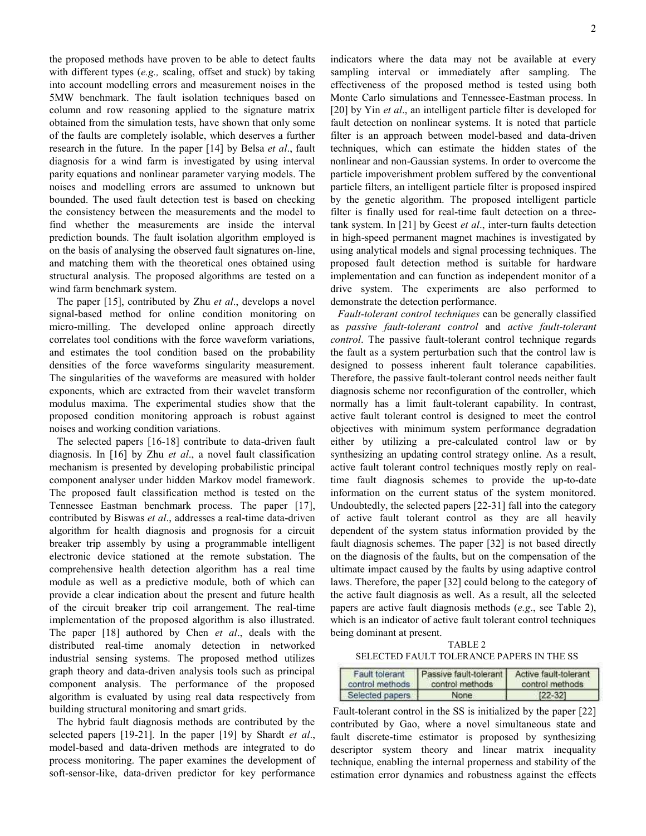the proposed methods have proven to be able to detect faults with different types (*e.g.,* scaling, offset and stuck) by taking into account modelling errors and measurement noises in the 5MW benchmark. The fault isolation techniques based on column and row reasoning applied to the signature matrix obtained from the simulation tests, have shown that only some of the faults are completely isolable, which deserves a further research in the future. In the paper [14] by Belsa *et al*., fault diagnosis for a wind farm is investigated by using interval parity equations and nonlinear parameter varying models. The noises and modelling errors are assumed to unknown but bounded. The used fault detection test is based on checking the consistency between the measurements and the model to find whether the measurements are inside the interval prediction bounds. The fault isolation algorithm employed is on the basis of analysing the observed fault signatures on-line, and matching them with the theoretical ones obtained using structural analysis. The proposed algorithms are tested on a wind farm benchmark system.

The paper [15], contributed by Zhu *et al*., develops a novel signal-based method for online condition monitoring on micro-milling. The developed online approach directly correlates tool conditions with the force waveform variations, and estimates the tool condition based on the probability densities of the force waveforms singularity measurement. The singularities of the waveforms are measured with holder exponents, which are extracted from their wavelet transform modulus maxima. The experimental studies show that the proposed condition monitoring approach is robust against noises and working condition variations.

The selected papers [16-18] contribute to data-driven fault diagnosis. In [16] by Zhu *et al*., a novel fault classification mechanism is presented by developing probabilistic principal component analyser under hidden Markov model framework. The proposed fault classification method is tested on the Tennessee Eastman benchmark process. The paper [17], contributed by Biswas *et al*., addresses a real-time data-driven algorithm for health diagnosis and prognosis for a circuit breaker trip assembly by using a programmable intelligent electronic device stationed at the remote substation. The comprehensive health detection algorithm has a real time module as well as a predictive module, both of which can provide a clear indication about the present and future health of the circuit breaker trip coil arrangement. The real-time implementation of the proposed algorithm is also illustrated. The paper [18] authored by Chen *et al*., deals with the distributed real-time anomaly detection in networked industrial sensing systems. The proposed method utilizes graph theory and data-driven analysis tools such as principal component analysis. The performance of the proposed algorithm is evaluated by using real data respectively from building structural monitoring and smart grids.

The hybrid fault diagnosis methods are contributed by the selected papers [19-21]. In the paper [19] by Shardt *et al*., model-based and data-driven methods are integrated to do process monitoring. The paper examines the development of soft-sensor-like, data-driven predictor for key performance indicators where the data may not be available at every sampling interval or immediately after sampling. The effectiveness of the proposed method is tested using both Monte Carlo simulations and Tennessee-Eastman process. In [20] by Yin *et al*., an intelligent particle filter is developed for fault detection on nonlinear systems. It is noted that particle filter is an approach between model-based and data-driven techniques, which can estimate the hidden states of the nonlinear and non-Gaussian systems. In order to overcome the particle impoverishment problem suffered by the conventional particle filters, an intelligent particle filter is proposed inspired by the genetic algorithm. The proposed intelligent particle filter is finally used for real-time fault detection on a threetank system. In [21] by Geest *et al*., inter-turn faults detection in high-speed permanent magnet machines is investigated by using analytical models and signal processing techniques. The proposed fault detection method is suitable for hardware implementation and can function as independent monitor of a drive system. The experiments are also performed to demonstrate the detection performance.

*Fault-tolerant control techniques* can be generally classified as *passive fault-tolerant control* and *active fault-tolerant control*. The passive fault-tolerant control technique regards the fault as a system perturbation such that the control law is designed to possess inherent fault tolerance capabilities. Therefore, the passive fault-tolerant control needs neither fault diagnosis scheme nor reconfiguration of the controller, which normally has a limit fault-tolerant capability. In contrast, active fault tolerant control is designed to meet the control objectives with minimum system performance degradation either by utilizing a pre-calculated control law or by synthesizing an updating control strategy online. As a result, active fault tolerant control techniques mostly reply on realtime fault diagnosis schemes to provide the up-to-date information on the current status of the system monitored. Undoubtedly, the selected papers [22-31] fall into the category of active fault tolerant control as they are all heavily dependent of the system status information provided by the fault diagnosis schemes. The paper [32] is not based directly on the diagnosis of the faults, but on the compensation of the ultimate impact caused by the faults by using adaptive control laws. Therefore, the paper [32] could belong to the category of the active fault diagnosis as well. As a result, all the selected papers are active fault diagnosis methods (*e.g*., see Table 2), which is an indicator of active fault tolerant control techniques being dominant at present.

TABLE 2 SELECTED FAULT TOLERANCE PAPERS IN THE SS

| Fault tolerant  | Passive fault-tolerant | Active fault-tolerant |
|-----------------|------------------------|-----------------------|
| control methods | control methods        | control methods       |
| Selected papers | None                   | $[22-32]$             |

 Fault-tolerant control in the SS is initialized by the paper [22] contributed by Gao, where a novel simultaneous state and fault discrete-time estimator is proposed by synthesizing descriptor system theory and linear matrix inequality technique, enabling the internal properness and stability of the estimation error dynamics and robustness against the effects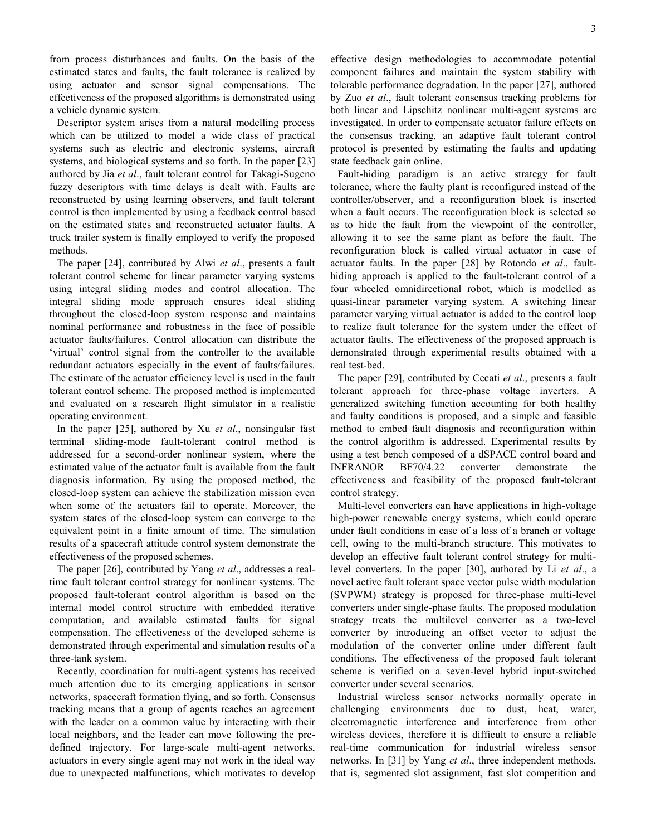from process disturbances and faults. On the basis of the estimated states and faults, the fault tolerance is realized by using actuator and sensor signal compensations. The effectiveness of the proposed algorithms is demonstrated using a vehicle dynamic system.

Descriptor system arises from a natural modelling process which can be utilized to model a wide class of practical systems such as electric and electronic systems, aircraft systems, and biological systems and so forth. In the paper [23] authored by Jia *et al*., fault tolerant control for Takagi-Sugeno fuzzy descriptors with time delays is dealt with. Faults are reconstructed by using learning observers, and fault tolerant control is then implemented by using a feedback control based on the estimated states and reconstructed actuator faults. A truck trailer system is finally employed to verify the proposed methods.

The paper [24], contributed by Alwi *et al*., presents a fault tolerant control scheme for linear parameter varying systems using integral sliding modes and control allocation. The integral sliding mode approach ensures ideal sliding throughout the closed-loop system response and maintains nominal performance and robustness in the face of possible actuator faults/failures. Control allocation can distribute the 'virtual' control signal from the controller to the available redundant actuators especially in the event of faults/failures. The estimate of the actuator efficiency level is used in the fault tolerant control scheme. The proposed method is implemented and evaluated on a research flight simulator in a realistic operating environment.

In the paper [25], authored by Xu *et al*., nonsingular fast terminal sliding-mode fault-tolerant control method is addressed for a second-order nonlinear system, where the estimated value of the actuator fault is available from the fault diagnosis information. By using the proposed method, the closed-loop system can achieve the stabilization mission even when some of the actuators fail to operate. Moreover, the system states of the closed-loop system can converge to the equivalent point in a finite amount of time. The simulation results of a spacecraft attitude control system demonstrate the effectiveness of the proposed schemes.

The paper [26], contributed by Yang *et al*., addresses a realtime fault tolerant control strategy for nonlinear systems. The proposed fault-tolerant control algorithm is based on the internal model control structure with embedded iterative computation, and available estimated faults for signal compensation. The effectiveness of the developed scheme is demonstrated through experimental and simulation results of a three-tank system.

Recently, coordination for multi-agent systems has received much attention due to its emerging applications in sensor networks, spacecraft formation flying, and so forth. Consensus tracking means that a group of agents reaches an agreement with the leader on a common value by interacting with their local neighbors, and the leader can move following the predefined trajectory. For large-scale multi-agent networks, actuators in every single agent may not work in the ideal way due to unexpected malfunctions, which motivates to develop effective design methodologies to accommodate potential component failures and maintain the system stability with tolerable performance degradation. In the paper [27], authored by Zuo *et al*., fault tolerant consensus tracking problems for both linear and Lipschitz nonlinear multi-agent systems are investigated. In order to compensate actuator failure effects on the consensus tracking, an adaptive fault tolerant control protocol is presented by estimating the faults and updating state feedback gain online.

Fault-hiding paradigm is an active strategy for fault tolerance, where the faulty plant is reconfigured instead of the controller/observer, and a reconfiguration block is inserted when a fault occurs. The reconfiguration block is selected so as to hide the fault from the viewpoint of the controller, allowing it to see the same plant as before the fault. The reconfiguration block is called virtual actuator in case of actuator faults. In the paper [28] by Rotondo *et al*., faulthiding approach is applied to the fault-tolerant control of a four wheeled omnidirectional robot, which is modelled as quasi-linear parameter varying system. A switching linear parameter varying virtual actuator is added to the control loop to realize fault tolerance for the system under the effect of actuator faults. The effectiveness of the proposed approach is demonstrated through experimental results obtained with a real test-bed.

The paper [29], contributed by Cecati *et al*., presents a fault tolerant approach for three-phase voltage inverters. A generalized switching function accounting for both healthy and faulty conditions is proposed, and a simple and feasible method to embed fault diagnosis and reconfiguration within the control algorithm is addressed. Experimental results by using a test bench composed of a dSPACE control board and INFRANOR BF70/4.22 converter demonstrate the effectiveness and feasibility of the proposed fault-tolerant control strategy.

Multi-level converters can have applications in high-voltage high-power renewable energy systems, which could operate under fault conditions in case of a loss of a branch or voltage cell, owing to the multi-branch structure. This motivates to develop an effective fault tolerant control strategy for multilevel converters. In the paper [30], authored by Li *et al*., a novel active fault tolerant space vector pulse width modulation (SVPWM) strategy is proposed for three-phase multi-level converters under single-phase faults. The proposed modulation strategy treats the multilevel converter as a two-level converter by introducing an offset vector to adjust the modulation of the converter online under different fault conditions. The effectiveness of the proposed fault tolerant scheme is verified on a seven-level hybrid input-switched converter under several scenarios.

Industrial wireless sensor networks normally operate in challenging environments due to dust, heat, water, electromagnetic interference and interference from other wireless devices, therefore it is difficult to ensure a reliable real-time communication for industrial wireless sensor networks. In [31] by Yang *et al*., three independent methods, that is, segmented slot assignment, fast slot competition and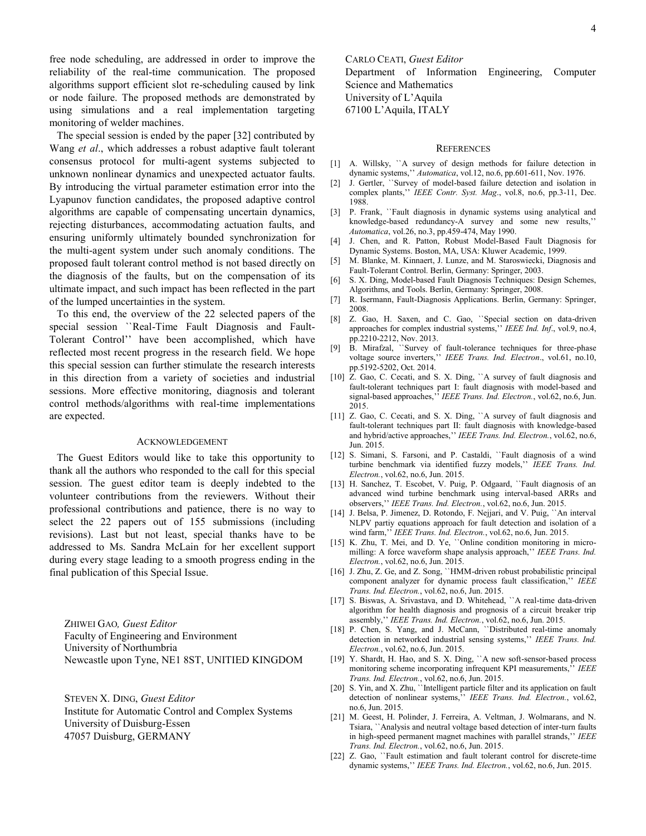free node scheduling, are addressed in order to improve the reliability of the real-time communication. The proposed algorithms support efficient slot re-scheduling caused by link or node failure. The proposed methods are demonstrated by using simulations and a real implementation targeting monitoring of welder machines.

The special session is ended by the paper [32] contributed by Wang *et al*., which addresses a robust adaptive fault tolerant consensus protocol for multi-agent systems subjected to unknown nonlinear dynamics and unexpected actuator faults. By introducing the virtual parameter estimation error into the Lyapunov function candidates, the proposed adaptive control algorithms are capable of compensating uncertain dynamics, rejecting disturbances, accommodating actuation faults, and ensuring uniformly ultimately bounded synchronization for the multi-agent system under such anomaly conditions. The proposed fault tolerant control method is not based directly on the diagnosis of the faults, but on the compensation of its ultimate impact, and such impact has been reflected in the part of the lumped uncertainties in the system.

To this end, the overview of the 22 selected papers of the special session ``Real-Time Fault Diagnosis and Fault-Tolerant Control'' have been accomplished, which have reflected most recent progress in the research field. We hope this special session can further stimulate the research interests in this direction from a variety of societies and industrial sessions. More effective monitoring, diagnosis and tolerant control methods/algorithms with real-time implementations are expected.

## ACKNOWLEDGEMENT

The Guest Editors would like to take this opportunity to thank all the authors who responded to the call for this special session. The guest editor team is deeply indebted to the volunteer contributions from the reviewers. Without their professional contributions and patience, there is no way to select the 22 papers out of 155 submissions (including revisions). Last but not least, special thanks have to be addressed to Ms. Sandra McLain for her excellent support during every stage leading to a smooth progress ending in the final publication of this Special Issue.

ZHIWEI GAO*, Guest Editor*  Faculty of Engineering and Environment University of Northumbria Newcastle upon Tyne, NE1 8ST, UNITIED KINGDOM

STEVEN X. DING, *Guest Editor*

Institute for Automatic Control and Complex Systems University of Duisburg-Essen 47057 Duisburg, GERMANY

CARLO CEATI, *Guest Editor*  Department of Information Engineering, Computer Science and Mathematics University of L'Aquila 67100 L'Aquila, ITALY

## **REFERENCES**

- [1] A. Willsky, "A survey of design methods for failure detection in dynamic systems,'' *Automatica*, vol.12, no.6, pp.601-611, Nov. 1976.
- [2] J. Gertler, ``Survey of model-based failure detection and isolation in complex plants,'' *IEEE Contr. Syst. Mag*., vol.8, no.6, pp.3-11, Dec. 1988.
- [3] P. Frank, "Fault diagnosis in dynamic systems using analytical and knowledge-based redundancy-A survey and some new results,'' *Automatica*, vol.26, no.3, pp.459-474, May 1990.
- [4] J. Chen, and R. Patton, Robust Model-Based Fault Diagnosis for Dynamic Systems. Boston, MA, USA: Kluwer Academic, 1999.
- [5] M. Blanke, M. Kinnaert, J. Lunze, and M. Staroswiecki, Diagnosis and Fault-Tolerant Control. Berlin, Germany: Springer, 2003.
- [6] S. X. Ding, Model-based Fault Diagnosis Techniques: Design Schemes, Algorithms, and Tools. Berlin, Germany: Springer, 2008.
- [7] R. [Isermann,](http://link.springer.com/search?facet-author=%22Rolf+Isermann%22) Fault-Diagnosis Applications. Berlin, Germany: Springer, 2008.
- [8] Z. Gao, H. Saxen, and C. Gao, "Special section on data-driven approaches for complex industrial systems,'' *IEEE Ind. Inf*., vol.9, no.4, pp.2210-2212, Nov. 2013.
- [9] B. Mirafzal, ``Survey of fault-tolerance techniques for three-phase voltage source inverters,'' *IEEE Trans. Ind. Electron*., vol.61, no.10, pp.5192-5202, Oct. 2014.
- [10] Z. Gao, C. Cecati, and S. X. Ding, "A survey of fault diagnosis and fault-tolerant techniques part I: fault diagnosis with model-based and signal-based approaches,'' *IEEE Trans. Ind. Electron.*, vol.62, no.6, Jun. 2015.
- [11] Z. Gao, C. Cecati, and S. X. Ding, "A survey of fault diagnosis and fault-tolerant techniques part II: fault diagnosis with knowledge-based and hybrid/active approaches,'' *IEEE Trans. Ind. Electron.*, vol.62, no.6, Jun. 2015.
- [12] S. Simani, S. Farsoni, and P. Castaldi, "Fault diagnosis of a wind turbine benchmark via identified fuzzy models,'' *IEEE Trans. Ind. Electron.*, vol.62, no.6, Jun. 2015.
- [13] H. Sanchez, T. Escobet, V. Puig, P. Odgaard, '`Fault diagnosis of an advanced wind turbine benchmark using interval-based ARRs and observers,'' *IEEE Trans. Ind. Electron.*, vol.62, no.6, Jun. 2015.
- [14] J. Belsa, P. Jimenez, D. Rotondo, F. Nejjari, and V. Puig, "An interval NLPV partiy equations approach for fault detection and isolation of a wind farm,'' *IEEE Trans. Ind. Electron.*, vol.62, no.6, Jun. 2015.
- [15] K. Zhu, T. Mei, and D. Ye, "Online condition monitoring in micromilling: A force waveform shape analysis approach,'' *IEEE Trans. Ind. Electron.*, vol.62, no.6, Jun. 2015.
- [16] J. Zhu, Z. Ge, and Z. Song, "HMM-driven robust probabilistic principal component analyzer for dynamic process fault classification,'' *IEEE Trans. Ind. Electron.*, vol.62, no.6, Jun. 2015.
- [17] S. Biswas, A. Srivastava, and D. Whitehead, ``A real-time data-driven algorithm for health diagnosis and prognosis of a circuit breaker trip assembly,'' *IEEE Trans. Ind. Electron.*, vol.62, no.6, Jun. 2015.
- [18] P. Chen, S. Yang, and J. McCann, "Distributed real-time anomaly detection in networked industrial sensing systems,'' *IEEE Trans. Ind. Electron.*, vol.62, no.6, Jun. 2015.
- [19] Y. Shardt, H. Hao, and S. X. Ding, "A new soft-sensor-based process monitoring scheme incorporating infrequent KPI measurements,<sup>3</sup> *Trans. Ind. Electron.*, vol.62, no.6, Jun. 2015.
- [20] S. Yin, and X. Zhu, ``Intelligent particle filter and its application on fault detection of nonlinear systems,'' *IEEE Trans. Ind. Electron.*, vol.62, no.6, Jun. 2015.
- [21] M. Geest, H. Polinder, J. Ferreira, A. Veltman, J. Wolmarans, and N. Tsiara, ``Analysis and neutral voltage based detection of inter-turn faults in high-speed permanent magnet machines with parallel strands,'' *IEEE Trans. Ind. Electron.*, vol.62, no.6, Jun. 2015.
- [22] Z. Gao, "Fault estimation and fault tolerant control for discrete-time dynamic systems,'' *IEEE Trans. Ind. Electron.*, vol.62, no.6, Jun. 2015.